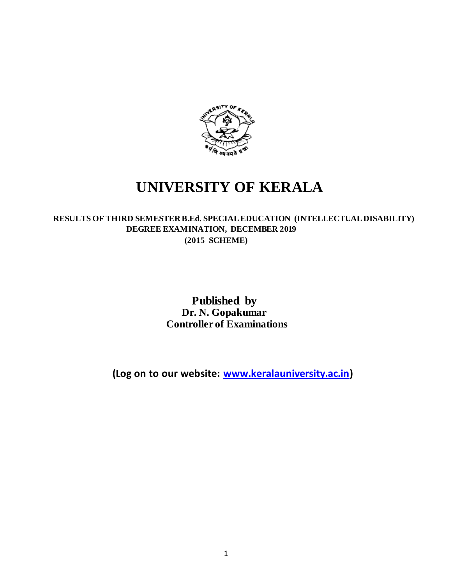

# **UNIVERSITY OF KERALA**

### **RESULTS OF THIRD SEMESTER B.Ed. SPECIAL EDUCATION (INTELLECTUAL DISABILITY) DEGREE EXAMINATION, DECEMBER 2019 (2015 SCHEME)**

## **Published by Dr. N. Gopakumar Controller of Examinations**

**(Log on to our website[: www.keralauniversity.ac.in\)](http://www.keralauniversity.ac.in/)**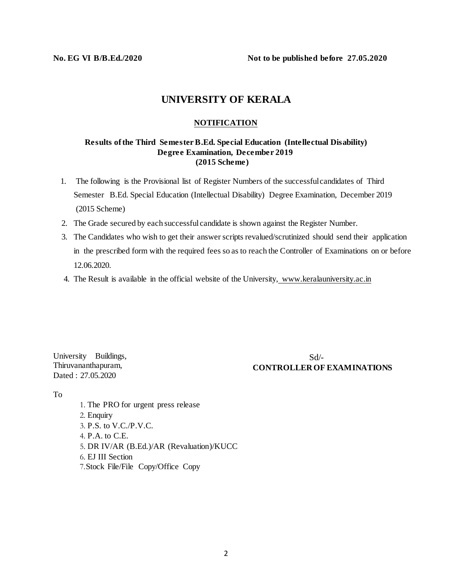**No. EG VI B/B.Ed./2020 Not to be published before 27.05.2020**

## **UNIVERSITY OF KERALA**

#### **NOTIFICATION**

#### **Results of the Third Semester B.Ed. Special Education (Intellectual Disability) Degree Examination, December 2019 (2015 Scheme)**

- 1. The following is the Provisional list of Register Numbers of the successfulcandidates of Third Semester B.Ed. Special Education (Intellectual Disability) Degree Examination, December 2019 (2015 Scheme)
- 2. The Grade secured by each successful candidate is shown against the Register Number.
- 3. The Candidates who wish to get their answer scripts revalued/scrutinized should send their application in the prescribed form with the required fees so as to reach the Controller of Examinations on or before 12.06.2020.
- 4. The Result is available in the official website of the University, [www.keralauniversity.ac.in](http://www.keralauniversity.ac.in/)

University Buildings, Thiruvananthapuram, Dated : 27.05.2020

Sd/- **CONTROLLER OF EXAMINATIONS**

To

1. The PRO for urgent press release 2. Enquiry 3. P.S. to V.C./P.V.C. 4. P.A. to C.E. 5. DR IV/AR (B.Ed.)/AR (Revaluation)/KUCC 6. EJ III Section 7.Stock File/File Copy/Office Copy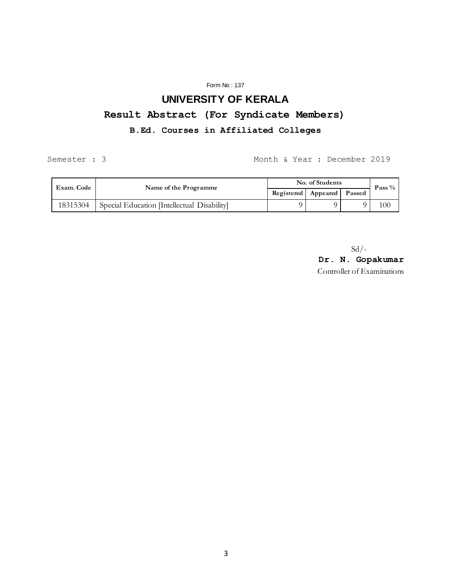#### Form No : 137

## **UNIVERSITY OF KERALA**

## **Result Abstract (For Syndicate Members)**

### **B.Ed. Courses in Affiliated Colleges**

Semester : 3 Month & Year : December 2019

| Exam. Code | Name of the Programme                       | No. of Students            |  |  | Pass $%$ |
|------------|---------------------------------------------|----------------------------|--|--|----------|
|            |                                             | Registered Appeared Passed |  |  |          |
| 18315304   | Special Education [Intellectual Disability] |                            |  |  | 100      |

 $Sd$  /-

**Dr. N. Gopakumar** Controller of Examinations